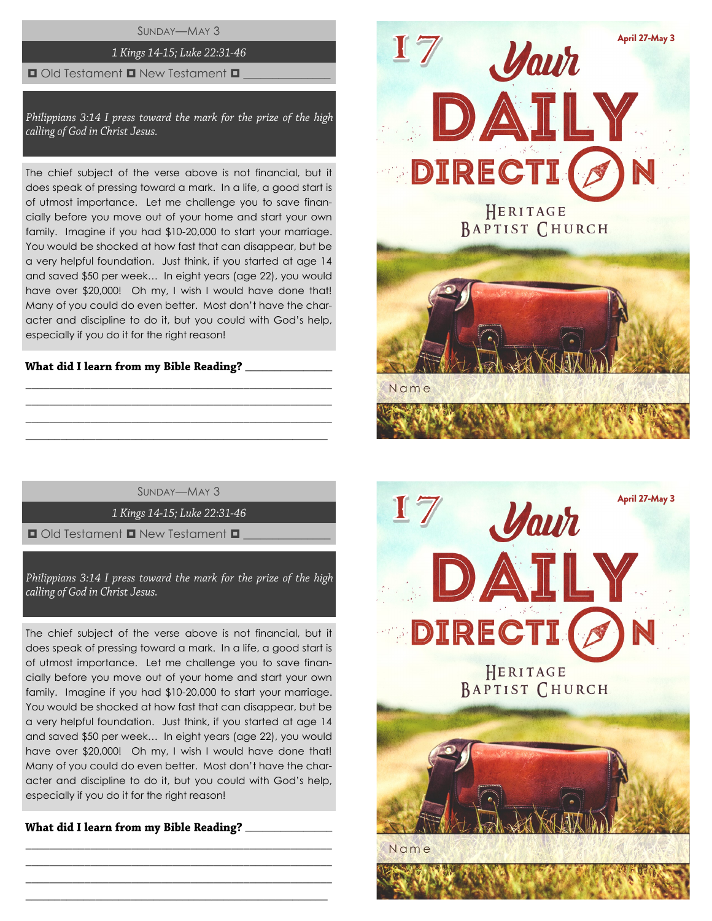SUNDAY—MAY 3

# 1 Kings 14-15; Luke 22:31-46

#### $\Box$  Old Testament  $\Box$  New Testament  $\Box$

Philippians 3:14 I press toward the mark for the prize of the high calling of God in Christ Jesus.

The chief subject of the verse above is not financial, but it does speak of pressing toward a mark. In a life, a good start is of utmost importance. Let me challenge you to save financially before you move out of your home and start your own family. Imagine if you had \$10-20,000 to start your marriage. You would be shocked at how fast that can disappear, but be a very helpful foundation. Just think, if you started at age 14 and saved \$50 per week… In eight years (age 22), you would have over \$20,000! Oh my, I wish I would have done that! Many of you could do even better. Most don't have the character and discipline to do it, but you could with God's help, especially if you do it for the right reason!

# What did I learn from my Bible Reading? \_\_\_\_\_\_\_\_\_

SUNDAY—MAY 3

\_\_\_\_\_\_\_\_\_\_\_\_\_\_\_\_\_\_\_\_\_\_\_\_\_\_\_\_\_\_\_\_\_\_\_\_\_\_\_\_\_\_\_\_\_\_\_\_\_\_\_\_ \_\_\_\_\_\_\_\_\_\_\_\_\_\_\_\_\_\_\_\_\_\_\_\_\_\_\_\_\_\_\_\_\_\_\_\_\_\_\_\_\_\_\_\_\_\_\_\_\_\_\_\_ \_\_\_\_\_\_\_\_\_\_\_\_\_\_\_\_\_\_\_\_\_\_\_\_\_\_\_\_\_\_\_\_\_\_\_\_\_\_\_\_\_\_\_\_\_\_\_\_\_\_\_\_  $\_$  , and the set of the set of the set of the set of the set of the set of the set of the set of the set of the set of the set of the set of the set of the set of the set of the set of the set of the set of the set of th

1 Kings 14-15; Luke 22:31-46

 $\blacksquare$  Old Testament  $\blacksquare$  New Testament  $\blacksquare$ 

Philippians 3:14 I press toward the mark for the prize of the high calling of God in Christ Jesus.

The chief subject of the verse above is not financial, but it does speak of pressing toward a mark. In a life, a good start is of utmost importance. Let me challenge you to save financially before you move out of your home and start your own family. Imagine if you had \$10-20,000 to start your marriage. You would be shocked at how fast that can disappear, but be a very helpful foundation. Just think, if you started at age 14 and saved \$50 per week… In eight years (age 22), you would have over \$20,000! Oh my, I wish I would have done that! Many of you could do even better. Most don't have the character and discipline to do it, but you could with God's help, especially if you do it for the right reason!

\_\_\_\_\_\_\_\_\_\_\_\_\_\_\_\_\_\_\_\_\_\_\_\_\_\_\_\_\_\_\_\_\_\_\_\_\_\_\_\_\_\_\_\_\_\_\_\_\_\_\_\_ \_\_\_\_\_\_\_\_\_\_\_\_\_\_\_\_\_\_\_\_\_\_\_\_\_\_\_\_\_\_\_\_\_\_\_\_\_\_\_\_\_\_\_\_\_\_\_\_\_\_\_\_ \_\_\_\_\_\_\_\_\_\_\_\_\_\_\_\_\_\_\_\_\_\_\_\_\_\_\_\_\_\_\_\_\_\_\_\_\_\_\_\_\_\_\_\_\_\_\_\_\_\_\_\_  $\_$  , and the set of the set of the set of the set of the set of the set of the set of the set of the set of the set of the set of the set of the set of the set of the set of the set of the set of the set of the set of th

What did I learn from my Bible Reading? \_\_\_\_\_\_\_\_\_



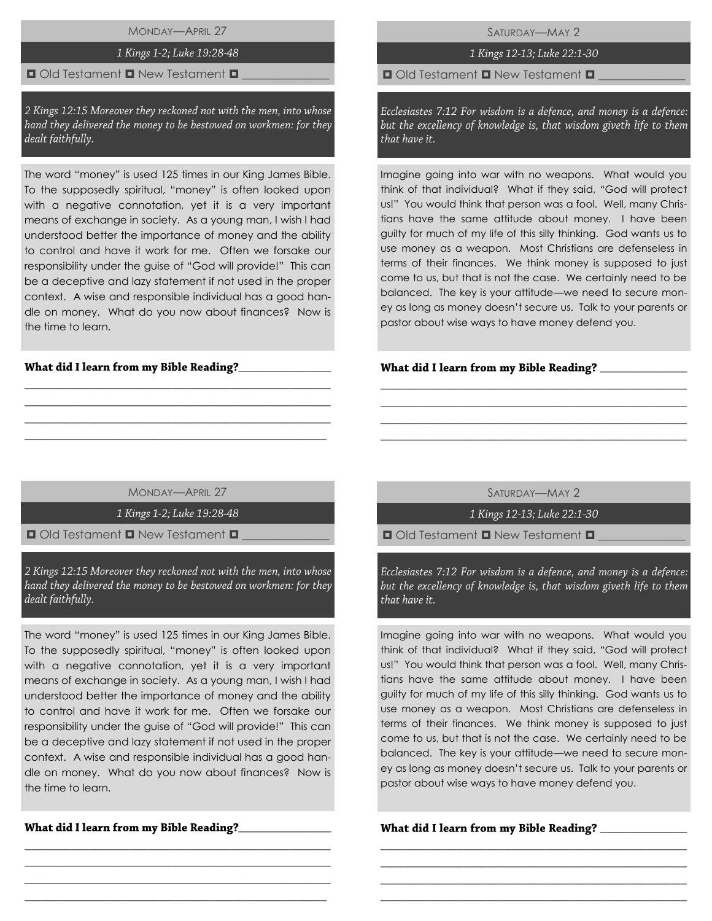MONDAY—APRIL 27

# 1 Kings 1-2; Luke 19:28-48

#### $\Box$  Old Testament  $\Box$  New Testament  $\Box$

2 Kings 12:15 Moreover they reckoned not with the men, into whose hand they delivered the money to be bestowed on workmen: for they dealt faithfully.

The word "money" is used 125 times in our King James Bible. To the supposedly spiritual, "money" is often looked upon with a negative connotation, yet it is a very important means of exchange in society. As a young man, I wish I had understood better the importance of money and the ability to control and have it work for me. Often we forsake our responsibility under the guise of "God will provide!" This can be a deceptive and lazy statement if not used in the proper context. A wise and responsible individual has a good handle on money. What do you now about finances? Now is the time to learn.

# What did I learn from my Bible Reading?\_\_

1 Kings 12-13; Luke 22:1-30

 $\Box$  Old Testament  $\Box$  New Testament  $\Box$ 

Ecclesiastes 7:12 For wisdom is a defence, and money is a defence: but the excellency of knowledge is, that wisdom giveth life to them that have it.

Imagine going into war with no weapons. What would you think of that individual? What if they said, "God will protect us!" You would think that person was a fool. Well, many Christians have the same attitude about money. I have been guilty for much of my life of this silly thinking. God wants us to use money as a weapon. Most Christians are defenseless in terms of their finances. We think money is supposed to just come to us, but that is not the case. We certainly need to be balanced. The key is your attitude—we need to secure money as long as money doesn't secure us. Talk to your parents or pastor about wise ways to have money defend you.

#### What did I learn from my Bible Reading? \_\_\_\_

MONDAY—APRIL 27

\_\_\_\_\_\_\_\_\_\_\_\_\_\_\_\_\_\_\_\_\_\_\_\_\_\_\_\_\_\_\_\_\_\_\_\_\_\_\_\_\_\_\_\_\_\_\_\_\_\_\_\_ \_\_\_\_\_\_\_\_\_\_\_\_\_\_\_\_\_\_\_\_\_\_\_\_\_\_\_\_\_\_\_\_\_\_\_\_\_\_\_\_\_\_\_\_\_\_\_\_\_\_\_\_ \_\_\_\_\_\_\_\_\_\_\_\_\_\_\_\_\_\_\_\_\_\_\_\_\_\_\_\_\_\_\_\_\_\_\_\_\_\_\_\_\_\_\_\_\_\_\_\_\_\_\_\_ \_\_\_\_\_\_\_\_\_\_\_\_\_\_\_\_\_\_\_\_\_\_\_\_\_\_\_\_\_\_\_\_\_\_\_\_\_\_\_\_\_\_\_\_\_\_\_\_\_\_\_\_

1 Kings 1-2; Luke 19:28-48

 $\Box$  Old Testament  $\Box$  New Testament  $\Box$ 

2 Kings 12:15 Moreover they reckoned not with the men, into whose hand they delivered the money to be bestowed on workmen: for they dealt faithfully.

The word "money" is used 125 times in our King James Bible. To the supposedly spiritual, "money" is often looked upon with a negative connotation, yet it is a very important means of exchange in society. As a young man, I wish I had understood better the importance of money and the ability to control and have it work for me. Often we forsake our responsibility under the guise of "God will provide!" This can be a deceptive and lazy statement if not used in the proper context. A wise and responsible individual has a good handle on money. What do you now about finances? Now is the time to learn.

\_\_\_\_\_\_\_\_\_\_\_\_\_\_\_\_\_\_\_\_\_\_\_\_\_\_\_\_\_\_\_\_\_\_\_\_\_\_\_\_\_\_\_\_\_\_\_\_\_\_\_\_ \_\_\_\_\_\_\_\_\_\_\_\_\_\_\_\_\_\_\_\_\_\_\_\_\_\_\_\_\_\_\_\_\_\_\_\_\_\_\_\_\_\_\_\_\_\_\_\_\_\_\_\_ \_\_\_\_\_\_\_\_\_\_\_\_\_\_\_\_\_\_\_\_\_\_\_\_\_\_\_\_\_\_\_\_\_\_\_\_\_\_\_\_\_\_\_\_\_\_\_\_\_\_\_\_ \_\_\_\_\_\_\_\_\_\_\_\_\_\_\_\_\_\_\_\_\_\_\_\_\_\_\_\_\_\_\_\_\_\_\_\_\_\_\_\_\_\_\_\_\_\_\_\_\_\_\_\_

What did I learn from my Bible Reading?\_\_\_\_\_\_\_\_\_\_\_

SATURDAY—MAY 2

\_\_\_\_\_\_\_\_\_\_\_\_\_\_\_\_\_\_\_\_\_\_\_\_\_\_\_\_\_\_\_\_\_\_\_\_\_\_\_\_\_\_\_\_\_\_\_\_\_\_\_\_ \_\_\_\_\_\_\_\_\_\_\_\_\_\_\_\_\_\_\_\_\_\_\_\_\_\_\_\_\_\_\_\_\_\_\_\_\_\_\_\_\_\_\_\_\_\_\_\_\_\_\_\_ \_\_\_\_\_\_\_\_\_\_\_\_\_\_\_\_\_\_\_\_\_\_\_\_\_\_\_\_\_\_\_\_\_\_\_\_\_\_\_\_\_\_\_\_\_\_\_\_\_\_\_\_ \_\_\_\_\_\_\_\_\_\_\_\_\_\_\_\_\_\_\_\_\_\_\_\_\_\_\_\_\_\_\_\_\_\_\_\_\_\_\_\_\_\_\_\_\_\_\_\_\_\_\_\_

1 Kings 12-13; Luke 22:1-30

 $\Box$  Old Testament  $\Box$  New Testament  $\Box$ 

Ecclesiastes 7:12 For wisdom is a defence, and money is a defence: but the excellency of knowledge is, that wisdom giveth life to them that have it.

Imagine going into war with no weapons. What would you think of that individual? What if they said, "God will protect us!" You would think that person was a fool. Well, many Christians have the same attitude about money. I have been guilty for much of my life of this silly thinking. God wants us to use money as a weapon. Most Christians are defenseless in terms of their finances. We think money is supposed to just come to us, but that is not the case. We certainly need to be balanced. The key is your attitude—we need to secure money as long as money doesn't secure us. Talk to your parents or pastor about wise ways to have money defend you.

\_\_\_\_\_\_\_\_\_\_\_\_\_\_\_\_\_\_\_\_\_\_\_\_\_\_\_\_\_\_\_\_\_\_\_\_\_\_\_\_\_\_\_\_\_\_\_\_\_\_\_\_ \_\_\_\_\_\_\_\_\_\_\_\_\_\_\_\_\_\_\_\_\_\_\_\_\_\_\_\_\_\_\_\_\_\_\_\_\_\_\_\_\_\_\_\_\_\_\_\_\_\_\_\_ \_\_\_\_\_\_\_\_\_\_\_\_\_\_\_\_\_\_\_\_\_\_\_\_\_\_\_\_\_\_\_\_\_\_\_\_\_\_\_\_\_\_\_\_\_\_\_\_\_\_\_\_ \_\_\_\_\_\_\_\_\_\_\_\_\_\_\_\_\_\_\_\_\_\_\_\_\_\_\_\_\_\_\_\_\_\_\_\_\_\_\_\_\_\_\_\_\_\_\_\_\_\_\_\_

What did I learn from my Bible Reading? \_\_\_\_\_\_\_\_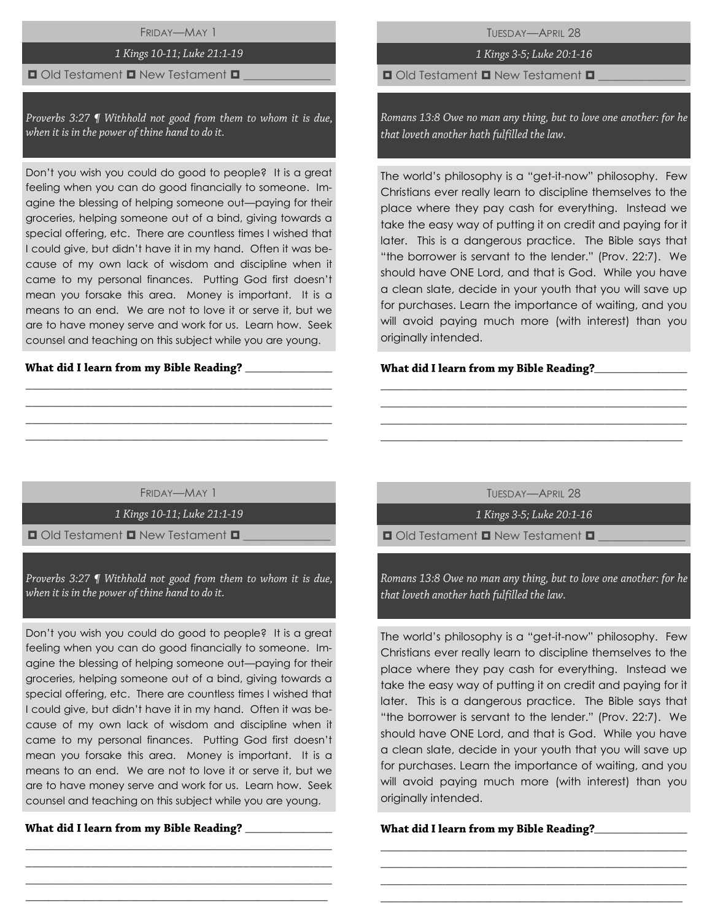FRIDAY—MAY 1

# 1 Kings 10-11; Luke 21:1-19

## $\blacksquare$  Old Testament  $\blacksquare$  New Testament  $\blacksquare$

Proverbs 3:27 ¶ Withhold not good from them to whom it is due, when it is in the power of thine hand to do it.

Don't you wish you could do good to people? It is a great feeling when you can do good financially to someone. Imagine the blessing of helping someone out—paying for their groceries, helping someone out of a bind, giving towards a special offering, etc. There are countless times I wished that I could give, but didn't have it in my hand. Often it was because of my own lack of wisdom and discipline when it came to my personal finances. Putting God first doesn't mean you forsake this area. Money is important. It is a means to an end. We are not to love it or serve it, but we are to have money serve and work for us. Learn how. Seek counsel and teaching on this subject while you are young.

#### What did I learn from my Bible Reading?

TUESDAY—APRIL 28

# 1 Kings 3-5; Luke 20:1-16

 $\Box$  Old Testament  $\Box$  New Testament  $\Box$ 

Romans 13:8 Owe no man any thing, but to love one another: for he that loveth another hath fulfilled the law.

The world's philosophy is a "get-it-now" philosophy. Few Christians ever really learn to discipline themselves to the place where they pay cash for everything. Instead we take the easy way of putting it on credit and paying for it later. This is a dangerous practice. The Bible says that "the borrower is servant to the lender." (Prov. 22:7). We should have ONE Lord, and that is God. While you have a clean slate, decide in your youth that you will save up for purchases. Learn the importance of waiting, and you will avoid paying much more (with interest) than you originally intended.

### **\_**\_\_\_\_\_\_\_\_\_\_\_\_\_\_\_

FRIDAY—MAY 1

\_\_\_\_\_\_\_\_\_\_\_\_\_\_\_\_\_\_\_\_\_\_\_\_\_\_\_\_\_\_\_\_\_\_\_\_\_\_\_\_\_\_\_\_\_\_\_\_\_\_\_\_ \_\_\_\_\_\_\_\_\_\_\_\_\_\_\_\_\_\_\_\_\_\_\_\_\_\_\_\_\_\_\_\_\_\_\_\_\_\_\_\_\_\_\_\_\_\_\_\_\_\_\_\_ \_\_\_\_\_\_\_\_\_\_\_\_\_\_\_\_\_\_\_\_\_\_\_\_\_\_\_\_\_\_\_\_\_\_\_\_\_\_\_\_\_\_\_\_\_\_\_\_\_\_\_\_  $\_$  , and the set of the set of the set of the set of the set of the set of the set of the set of the set of the set of the set of the set of the set of the set of the set of the set of the set of the set of the set of th

1 Kings 10-11; Luke 21:1-19

 $\blacksquare$  Old Testament  $\blacksquare$  New Testament  $\blacksquare$ 

Proverbs 3:27 ¶ Withhold not good from them to whom it is due, when it is in the power of thine hand to do it.

Don't you wish you could do good to people? It is a great feeling when you can do good financially to someone. Imagine the blessing of helping someone out—paying for their groceries, helping someone out of a bind, giving towards a special offering, etc. There are countless times I wished that I could give, but didn't have it in my hand. Often it was because of my own lack of wisdom and discipline when it came to my personal finances. Putting God first doesn't mean you forsake this area. Money is important. It is a means to an end. We are not to love it or serve it, but we are to have money serve and work for us. Learn how. Seek counsel and teaching on this subject while you are young.

\_\_\_\_\_\_\_\_\_\_\_\_\_\_\_\_\_\_\_\_\_\_\_\_\_\_\_\_\_\_\_\_\_\_\_\_\_\_\_\_\_\_\_\_\_\_\_\_\_\_\_\_ \_\_\_\_\_\_\_\_\_\_\_\_\_\_\_\_\_\_\_\_\_\_\_\_\_\_\_\_\_\_\_\_\_\_\_\_\_\_\_\_\_\_\_\_\_\_\_\_\_\_\_\_ \_\_\_\_\_\_\_\_\_\_\_\_\_\_\_\_\_\_\_\_\_\_\_\_\_\_\_\_\_\_\_\_\_\_\_\_\_\_\_\_\_\_\_\_\_\_\_\_\_\_\_\_  $\_$  , and the set of the set of the set of the set of the set of the set of the set of the set of the set of the set of the set of the set of the set of the set of the set of the set of the set of the set of the set of th

\_\_\_\_\_\_\_\_\_\_\_\_\_\_\_

TUESDAY—APRIL 28

\_\_\_\_\_\_\_\_\_\_\_\_\_\_\_\_\_\_\_\_\_\_\_\_\_\_\_\_\_\_\_\_\_\_\_\_\_\_\_\_\_\_\_\_\_\_\_\_\_\_\_\_ \_\_\_\_\_\_\_\_\_\_\_\_\_\_\_\_\_\_\_\_\_\_\_\_\_\_\_\_\_\_\_\_\_\_\_\_\_\_\_\_\_\_\_\_\_\_\_\_\_\_\_\_ \_\_\_\_\_\_\_\_\_\_\_\_\_\_\_\_\_\_\_\_\_\_\_\_\_\_\_\_\_\_\_\_\_\_\_\_\_\_\_\_\_\_\_\_\_\_\_\_\_\_\_\_ \_\_\_\_\_\_\_\_\_\_\_\_\_\_\_\_\_\_\_\_\_\_\_\_\_\_\_\_\_\_\_\_\_\_\_\_\_\_\_\_\_\_\_\_\_\_\_\_\_\_\_\_

1 Kings 3-5; Luke 20:1-16

 $\Box$  Old Testament  $\Box$  New Testament  $\Box$ 

Romans 13:8 Owe no man any thing, but to love one another: for he that loveth another hath fulfilled the law.

The world's philosophy is a "get-it-now" philosophy. Few Christians ever really learn to discipline themselves to the place where they pay cash for everything. Instead we take the easy way of putting it on credit and paying for it later. This is a dangerous practice. The Bible says that "the borrower is servant to the lender." (Prov. 22:7). We should have ONE Lord, and that is God. While you have a clean slate, decide in your youth that you will save up for purchases. Learn the importance of waiting, and you will avoid paying much more (with interest) than you originally intended.

\_\_\_\_\_\_\_\_\_\_\_\_\_\_\_\_\_\_\_\_\_\_\_\_\_\_\_\_\_\_\_\_\_\_\_\_\_\_\_\_\_\_\_\_\_\_\_\_\_\_\_\_ \_\_\_\_\_\_\_\_\_\_\_\_\_\_\_\_\_\_\_\_\_\_\_\_\_\_\_\_\_\_\_\_\_\_\_\_\_\_\_\_\_\_\_\_\_\_\_\_\_\_\_\_ \_\_\_\_\_\_\_\_\_\_\_\_\_\_\_\_\_\_\_\_\_\_\_\_\_\_\_\_\_\_\_\_\_\_\_\_\_\_\_\_\_\_\_\_\_\_\_\_\_\_\_\_ \_\_\_\_\_\_\_\_\_\_\_\_\_\_\_\_\_\_\_\_\_\_\_\_\_\_\_\_\_\_\_\_\_\_\_\_\_\_\_\_\_\_\_\_\_\_\_\_\_\_\_\_

What did I learn from my Bible Reading?\_\_\_\_\_\_\_\_